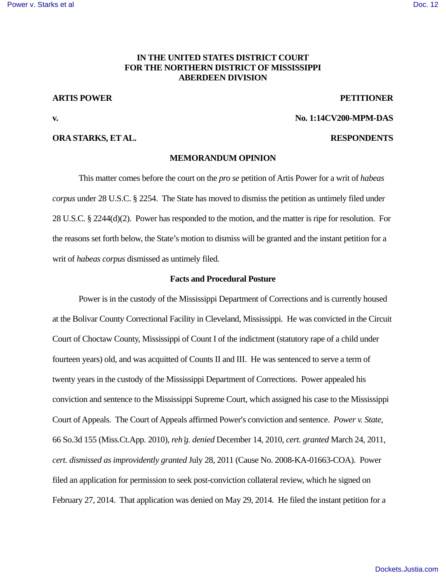# **IN THE UNITED STATES DISTRICT COURT FOR THE NORTHERN DISTRICT OF MISSISSIPPI ABERDEEN DIVISION**

#### **ARTIS POWER PETITIONER**

#### **ORA STARKS, ET AL. RESPONDENTS**

# **v. No. 1:14CV200-MPM-DAS**

# **MEMORANDUM OPINION**

This matter comes before the court on the *pro se* petition of Artis Power for a writ of *habeas corpus* under 28 U.S.C. § 2254. The State has moved to dismiss the petition as untimely filed under 28 U.S.C. § 2244(d)(2). Power has responded to the motion, and the matter is ripe for resolution. For the reasons set forth below, the State's motion to dismiss will be granted and the instant petition for a writ of *habeas corpus* dismissed as untimely filed.

#### **Facts and Procedural Posture**

Power is in the custody of the Mississippi Department of Corrections and is currently housed at the Bolivar County Correctional Facility in Cleveland, Mississippi. He was convicted in the Circuit Court of Choctaw County, Mississippi of Count I of the indictment (statutory rape of a child under fourteen years) old, and was acquitted of Counts II and III. He was sentenced to serve a term of twenty years in the custody of the Mississippi Department of Corrections.Power appealed his conviction and sentence to the Mississippi Supreme Court, which assigned his case to the Mississippi Court of Appeals. The Court of Appeals affirmed Power's conviction and sentence. *Power v. State*, 66 So.3d 155 (Miss.Ct.App. 2010), *reh*=*g. denied* December 14, 2010, *cert. granted* March 24, 2011, *cert. dismissed as improvidently granted* July 28, 2011 (Cause No. 2008-KA-01663-COA). Power filed an application for permission to seek post-conviction collateral review, which he signed on February 27, 2014. That application was denied on May 29, 2014. He filed the instant petition for a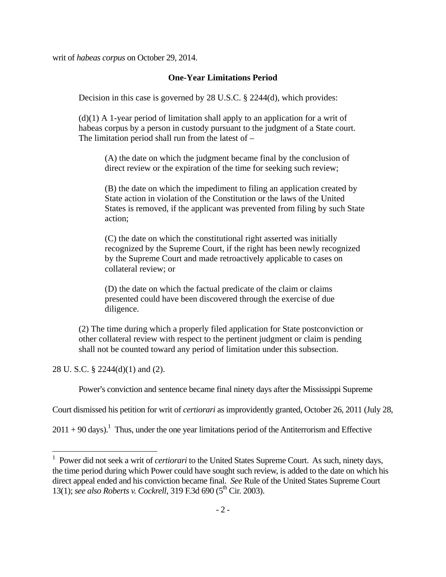writ of *habeas corpus* on October 29, 2014.

## **One-Year Limitations Period**

Decision in this case is governed by 28 U.S.C. § 2244(d), which provides:

 $(d)(1)$  A 1-year period of limitation shall apply to an application for a writ of habeas corpus by a person in custody pursuant to the judgment of a State court. The limitation period shall run from the latest of  $-$ 

(A) the date on which the judgment became final by the conclusion of direct review or the expiration of the time for seeking such review;

(B) the date on which the impediment to filing an application created by State action in violation of the Constitution or the laws of the United States is removed, if the applicant was prevented from filing by such State action;

(C) the date on which the constitutional right asserted was initially recognized by the Supreme Court, if the right has been newly recognized by the Supreme Court and made retroactively applicable to cases on collateral review; or

(D) the date on which the factual predicate of the claim or claims presented could have been discovered through the exercise of due diligence.

(2) The time during which a properly filed application for State postconviction or other collateral review with respect to the pertinent judgment or claim is pending shall not be counted toward any period of limitation under this subsection.

28 U. S.C. § 2244(d)(1) and (2).

 $\overline{a}$ 

Power's conviction and sentence became final ninety days after the Mississippi Supreme

Court dismissed his petition for writ of *certiorari* as improvidently granted, October 26, 2011 (July 28,

 $2011 + 90$  days).<sup>1</sup> Thus, under the one year limitations period of the Antiterrorism and Effective

<sup>&</sup>lt;sup>1</sup> Power did not seek a writ of *certiorari* to the United States Supreme Court. As such, ninety days, the time period during which Power could have sought such review, is added to the date on which his direct appeal ended and his conviction became final. *See* Rule of the United States Supreme Court 13(1); *see also Roberts v. Cockrell*, 319 F.3d 690 (5<sup>th</sup> Cir. 2003).